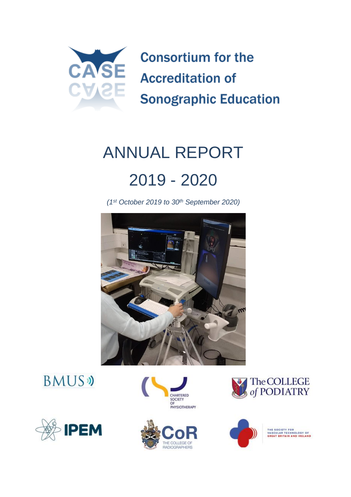

# ANNUAL REPORT 2019 - 2020

*(1st October 2019 to 30th September 2020)*















THE SOCIETY FOR<br>VASCULAR TECHNOLOGY OF<br>GREAT BRITAIN AND IRELAND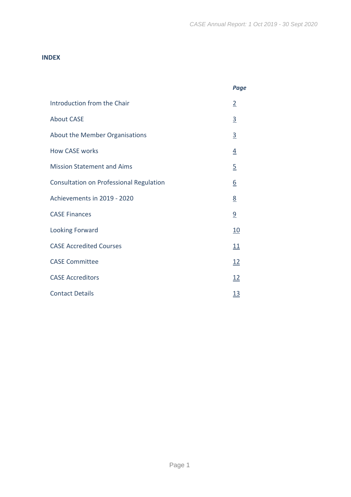#### **INDEX**

|                                         | <b>Page</b>    |
|-----------------------------------------|----------------|
| Introduction from the Chair             | $\overline{2}$ |
| <b>About CASE</b>                       | $\overline{3}$ |
| About the Member Organisations          | $\overline{3}$ |
| <b>How CASE works</b>                   | $\overline{4}$ |
| <b>Mission Statement and Aims</b>       | $\overline{2}$ |
| Consultation on Professional Regulation | <u>6</u>       |
| Achievements in 2019 - 2020             | 8              |
| <b>CASE Finances</b>                    | $\overline{a}$ |
| Looking Forward                         | <u>10</u>      |
| <b>CASE Accredited Courses</b>          | 11             |
| <b>CASE Committee</b>                   | 12             |
| <b>CASE Accreditors</b>                 | 12             |
| <b>Contact Details</b>                  | <u>13</u>      |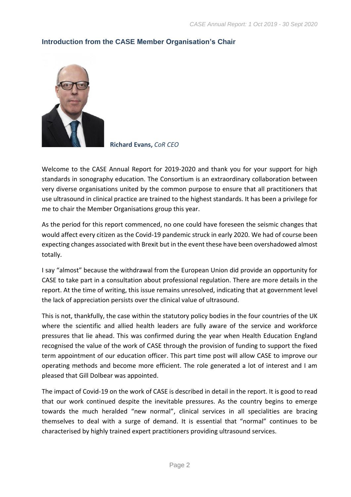

# <span id="page-2-0"></span>**Introduction from the CASE Member Organisation's Chair**

 **Richard Evans,** *CoR CEO*

Welcome to the CASE Annual Report for 2019-2020 and thank you for your support for high standards in sonography education. The Consortium is an extraordinary collaboration between very diverse organisations united by the common purpose to ensure that all practitioners that use ultrasound in clinical practice are trained to the highest standards. It has been a privilege for me to chair the Member Organisations group this year.

As the period for this report commenced, no one could have foreseen the seismic changes that would affect every citizen as the Covid-19 pandemic struck in early 2020. We had of course been expecting changes associated with Brexit but in the event these have been overshadowed almost totally.

I say "almost" because the withdrawal from the European Union did provide an opportunity for CASE to take part in a consultation about professional regulation. There are more details in the report. At the time of writing, this issue remains unresolved, indicating that at government level the lack of appreciation persists over the clinical value of ultrasound.

This is not, thankfully, the case within the statutory policy bodies in the four countries of the UK where the scientific and allied health leaders are fully aware of the service and workforce pressures that lie ahead. This was confirmed during the year when Health Education England recognised the value of the work of CASE through the provision of funding to support the fixed term appointment of our education officer. This part time post will allow CASE to improve our operating methods and become more efficient. The role generated a lot of interest and I am pleased that Gill Dolbear was appointed.

The impact of Covid-19 on the work of CASE is described in detail in the report. It is good to read that our work continued despite the inevitable pressures. As the country begins to emerge towards the much heralded "new normal", clinical services in all specialities are bracing themselves to deal with a surge of demand. It is essential that "normal" continues to be characterised by highly trained expert practitioners providing ultrasound services.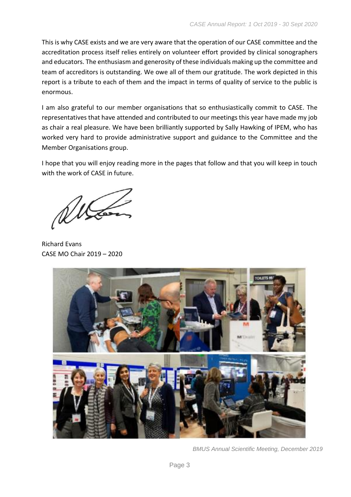This is why CASE exists and we are very aware that the operation of our CASE committee and the accreditation process itself relies entirely on volunteer effort provided by clinical sonographers and educators. The enthusiasm and generosity of these individuals making up the committee and team of accreditors is outstanding. We owe all of them our gratitude. The work depicted in this report is a tribute to each of them and the impact in terms of quality of service to the public is enormous.

I am also grateful to our member organisations that so enthusiastically commit to CASE. The representatives that have attended and contributed to our meetings this year have made my job as chair a real pleasure. We have been brilliantly supported by Sally Hawking of IPEM, who has worked very hard to provide administrative support and guidance to the Committee and the Member Organisations group.

I hope that you will enjoy reading more in the pages that follow and that you will keep in touch with the work of CASE in future.

Richard Evans CASE MO Chair 2019 – 2020



*BMUS Annual Scientific Meeting, December 2019*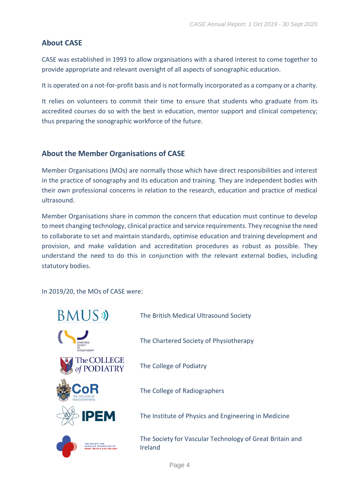# <span id="page-4-0"></span>**About CASE**

CASE was established in 1993 to allow organisations with a shared interest to come together to provide appropriate and relevant oversight of all aspects of sonographic education.

It is operated on a not-for-profit basis and is not formally incorporated as a company or a charity.

It relies on volunteers to commit their time to ensure that students who graduate from its accredited courses do so with the best in education, mentor support and clinical competency; thus preparing the sonographic workforce of the future.

# <span id="page-4-1"></span>**About the Member Organisations of CASE**

Member Organisations (MOs) are normally those which have direct responsibilities and interest in the practice of sonography and its education and training. They are independent bodies with their own professional concerns in relation to the research, education and practice of medical ultrasound.

Member Organisations share in common the concern that education must continue to develop to meet changing technology, clinical practice and service requirements. They recognise the need to collaborate to set and maintain standards, optimise education and training development and provision, and make validation and accreditation procedures as robust as possible. They understand the need to do this in conjunction with the relevant external bodies, including statutory bodies.

In 2019/20, the MOs of CASE were:

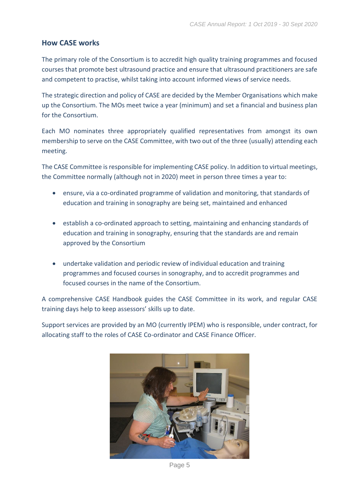# <span id="page-5-0"></span>**How CASE works**

The primary role of the Consortium is to accredit high quality training programmes and focused courses that promote best ultrasound practice and ensure that ultrasound practitioners are safe and competent to practise, whilst taking into account informed views of service needs.

The strategic direction and policy of CASE are decided by the Member Organisations which make up the Consortium. The MOs meet twice a year (minimum) and set a financial and business plan for the Consortium.

Each MO nominates three appropriately qualified representatives from amongst its own membership to serve on the CASE Committee, with two out of the three (usually) attending each meeting.

The CASE Committee is responsible for implementing CASE policy. In addition to virtual meetings, the Committee normally (although not in 2020) meet in person three times a year to:

- ensure, via a co-ordinated programme of validation and monitoring, that standards of education and training in sonography are being set, maintained and enhanced
- establish a co-ordinated approach to setting, maintaining and enhancing standards of education and training in sonography, ensuring that the standards are and remain approved by the Consortium
- undertake validation and periodic review of individual education and training programmes and focused courses in sonography, and to accredit programmes and focused courses in the name of the Consortium.

A comprehensive CASE Handbook guides the CASE Committee in its work, and regular CASE training days help to keep assessors' skills up to date.

Support services are provided by an MO (currently IPEM) who is responsible, under contract, for allocating staff to the roles of CASE Co-ordinator and CASE Finance Officer.



Page 5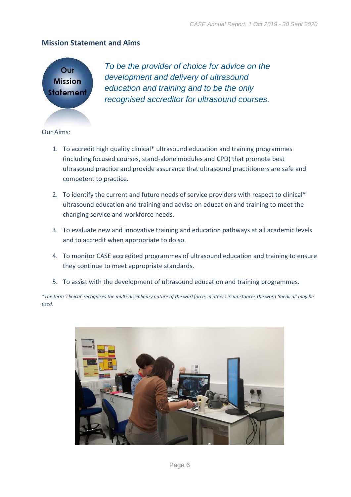#### <span id="page-6-0"></span>**Mission Statement and Aims**



*To be the provider of choice for advice on the development and delivery of ultrasound education and training and to be the only recognised accreditor for ultrasound courses.*

Our Aims:

- 1. To accredit high quality clinical\* ultrasound education and training programmes (including focused courses, stand-alone modules and CPD) that promote best ultrasound practice and provide assurance that ultrasound practitioners are safe and competent to practice.
- 2. To identify the current and future needs of service providers with respect to clinical\* ultrasound education and training and advise on education and training to meet the changing service and workforce needs.
- 3. To evaluate new and innovative training and education pathways at all academic levels and to accredit when appropriate to do so.
- 4. To monitor CASE accredited programmes of ultrasound education and training to ensure they continue to meet appropriate standards.
- 5. To assist with the development of ultrasound education and training programmes.

\**The term 'clinical' recognises the multi-disciplinary nature of the workforce; in other circumstances the word 'medical' may be used.*

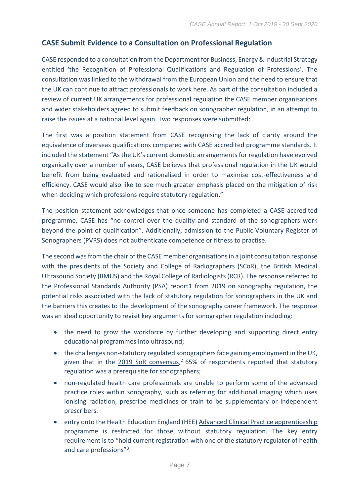# <span id="page-7-0"></span>**CASE Submit Evidence to a Consultation on Professional Regulation**

CASE responded to a consultation from the Department for Business, Energy & Industrial Strategy entitled 'the Recognition of Professional Qualifications and Regulation of Professions'. The consultation was linked to the withdrawal from the European Union and the need to ensure that the UK can continue to attract professionals to work here. As part of the consultation included a review of current UK arrangements for professional regulation the CASE member organisations and wider stakeholders agreed to submit feedback on sonographer regulation, in an attempt to raise the issues at a national level again. Two responses were submitted:

The first was a position statement from CASE recognising the lack of clarity around the equivalence of overseas qualifications compared with CASE accredited programme standards. It included the statement "As the UK's current domestic arrangements for regulation have evolved organically over a number of years, CASE believes that professional regulation in the UK would benefit from being evaluated and rationalised in order to maximise cost-effectiveness and efficiency. CASE would also like to see much greater emphasis placed on the mitigation of risk when deciding which professions require statutory regulation."

The position statement acknowledges that once someone has completed a CASE accredited programme, CASE has "no control over the quality and standard of the sonographers work beyond the point of qualification". Additionally, admission to the Public Voluntary Register of Sonographers (PVRS) does not authenticate competence or fitness to practise.

The second was from the chair of the CASE member organisations in a joint consultation response with the presidents of the Society and College of Radiographers (SCoR), the British Medical Ultrasound Society (BMUS) and the Royal College of Radiologists (RCR). The response referred to the [Professional Standards Authority \(PSA\) report1](https://www.professionalstandards.org.uk/docs/default-source/publications/right-touch-assurance-for-sonographers---a-report-for-health-education-england.pdf?sfvrsn=b2fd7420_0) from 2019 on sonography regulation, the potential risks associated with the lack of statutory regulation for sonographers in the UK and the barriers this creates to the development of the sonography career framework. The response was an ideal opportunity to revisit key arguments for sonographer regulation including:

- the need to grow the workforce by further developing and supporting direct entry educational programmes into ultrasound;
- the challenges non-statutory regulated sonographers face gaining employment in the UK, given that in the [2019 SoR consensus,](https://www.sor.org/sites/default/files/document-versions/ultrasound_workforce_uk_census_2019.pdf)<sup>2</sup> 65% of respondents reported that statutory regulation was a prerequisite for sonographers;
- non-regulated health care professionals are unable to perform some of the advanced practice roles within sonography, such as referring for additional imaging which uses ionising radiation, prescribe medicines or train to be supplementary or independent prescribers.
- entry onto the Health Education England (HEE) [Advanced Clinical Practice apprenticeship](https://haso.skillsforhealth.org.uk/wp-content/uploads/2019/03/2019.03.07-Advanced-clinical-practitioner-degree-ST0564-Standard.pdf) programme is restricted for those without statutory regulation. The key entry requirement is to "hold current registration with one of the statutory regulator of health and care professions"<sup>3</sup> .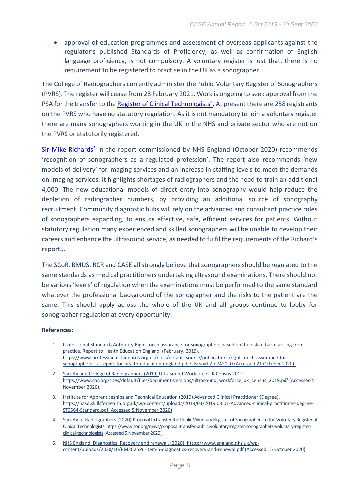• approval of education programmes and assessment of overseas applicants against the regulator's published Standards of Proficiency, as well as confirmation of English language proficiency, is not compulsory. A voluntary register is just that, there is no requirement to be registered to practise in the UK as a sonographer.

The College of Radiographers currently administer the Public Voluntary Register of Sonographers (PVRS). The register will cease from 28 February 2021. Work is ongoing to seek approval from the PSA for the transfer to the **Register of Clinical Technologists<sup>4</sup>.** At present there are 258 registrants on the PVRS who have no statutory regulation. As it is not mandatory to join a voluntary register there are many sonographers working in the UK in the NHS and private sector who are not on the PVRS or statutorily registered.

[Sir Mike Richards](https://www.england.nhs.uk/wp-content/uploads/2020/10/BM2025Pu-item-5-diagnostics-recovery-and-renewal.pdf)<sup>5</sup> in the report commissioned by NHS England (October 2020) recommends 'recognition of sonographers as a regulated profession'. The report also recommends 'new models of delivery' for imaging services and an increase in staffing levels to meet the demands on imaging services. It highlights shortages of radiographers and the need to train an additional 4,000. The new educational models of direct entry into sonography would help reduce the depletion of radiographer numbers, by providing an additional source of sonography recruitment. Community diagnostic hubs will rely on the advanced and consultant practice roles of sonographers expanding, to ensure effective, safe, efficient services for patients. Without statutory regulation many experienced and skilled sonographers will be unable to develop their careers and enhance the ultrasound service, as needed to fulfil the requirements of the Richard's report5.

The SCoR, BMUS, RCR and CASE all strongly believe that sonographers should be regulated to the same standards as medical practitioners undertaking ultrasound examinations. There should not be various 'levels' of regulation when the examinations must be performed to the same standard whatever the professional background of the sonographer and the risks to the patient are the same. This should apply across the whole of the UK and all groups continue to lobby for sonographer regulation at every opportunity.

#### **References:**

- 1. Professional Standards Authority Right touch assurance for sonographers based on the risk of harm arising from practice. Report to Health Education England. (February, 2019). [https://www.professionalstandards.org.uk/docs/default-source/publications/right-touch-assurance-for](https://www.professionalstandards.org.uk/docs/default-source/publications/right-touch-assurance-for-sonographers---a-report-for-health-education-england.pdf?sfvrsn=b2fd7420_0)[sonographers---a-report-for-health-education-england.pdf?sfvrsn=b2fd7420\\_0](https://www.professionalstandards.org.uk/docs/default-source/publications/right-touch-assurance-for-sonographers---a-report-for-health-education-england.pdf?sfvrsn=b2fd7420_0) (Accessed 21 October 2020).
- 2. Society and College of Radiographers (2019) Ultrasound Workforce UK Census 2019. [https://www.sor.org/sites/default/files/document-versions/ultrasound\\_workforce\\_uk\\_census\\_2019.pdf](https://www.sor.org/sites/default/files/document-versions/ultrasound_workforce_uk_census_2019.pdf) (Accessed 5 November 2020).
- 3. Institute for Apprenticeships and Technical Education (2019) Advanced Clinical Practitioner (Degree). [https://haso.skillsforhealth.org.uk/wp-content/uploads/2019/03/2019.03.07-Advanced-clinical-practitioner-degree-](https://haso.skillsforhealth.org.uk/wp-content/uploads/2019/03/2019.03.07-Advanced-clinical-practitioner-degree-ST0564-Standard.pdf)[ST0564-Standard.pdf](https://haso.skillsforhealth.org.uk/wp-content/uploads/2019/03/2019.03.07-Advanced-clinical-practitioner-degree-ST0564-Standard.pdf) (Accessed 5 November 2020)
- 4. Society of Radiographers (2020) Proposal to transfer the Public Voluntary Register of Sonographers to the Voluntary Register of Clinical Technologists[. https://www.sor.org/news/proposal-transfer-public-voluntary-register-sonographers-voluntary-register](https://www.sor.org/news/proposal-transfer-public-voluntary-register-sonographers-voluntary-register-clinical-technologists)[clinical-technologists\(](https://www.sor.org/news/proposal-transfer-public-voluntary-register-sonographers-voluntary-register-clinical-technologists)Accessed 5 November 2020).
- 5. NHS England. Diagnostics: Recovery and renewal. (2020). [https://www.england.nhs.uk/wp](https://www.england.nhs.uk/wp-content/uploads/2020/10/BM2025Pu-item-5-diagnostics-recovery-and-renewal.pdf)[content/uploads/2020/10/BM2025Pu-item-5-diagnostics-recovery-and-renewal.pdf](https://www.england.nhs.uk/wp-content/uploads/2020/10/BM2025Pu-item-5-diagnostics-recovery-and-renewal.pdf) (Accessed 15 October 2020)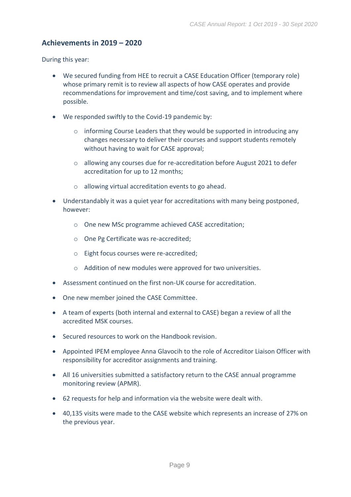# <span id="page-9-0"></span>**Achievements in 2019 – 2020**

During this year:

- We secured funding from HEE to recruit a CASE Education Officer (temporary role) whose primary remit is to review all aspects of how CASE operates and provide recommendations for improvement and time/cost saving, and to implement where possible.
- We responded swiftly to the Covid-19 pandemic by:
	- $\circ$  informing Course Leaders that they would be supported in introducing any changes necessary to deliver their courses and support students remotely without having to wait for CASE approval;
	- o allowing any courses due for re-accreditation before August 2021 to defer accreditation for up to 12 months;
	- o allowing virtual accreditation events to go ahead.
- Understandably it was a quiet year for accreditations with many being postponed, however:
	- o One new MSc programme achieved CASE accreditation;
	- o One Pg Certificate was re-accredited;
	- o Eight focus courses were re-accredited;
	- o Addition of new modules were approved for two universities.
- Assessment continued on the first non-UK course for accreditation.
- One new member joined the CASE Committee.
- A team of experts (both internal and external to CASE) began a review of all the accredited MSK courses.
- Secured resources to work on the Handbook revision.
- Appointed IPEM employee Anna Glavocih to the role of Accreditor Liaison Officer with responsibility for accreditor assignments and training.
- All 16 universities submitted a satisfactory return to the CASE annual programme monitoring review (APMR).
- 62 requests for help and information via the website were dealt with.
- 40,135 visits were made to the CASE website which represents an increase of 27% on the previous year.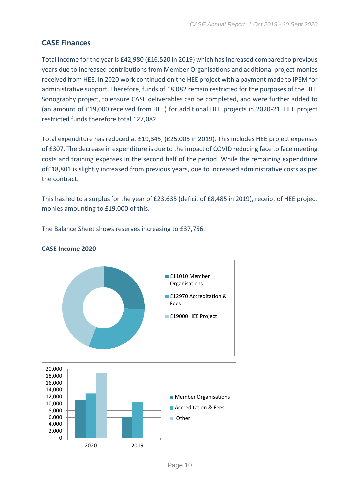# <span id="page-10-0"></span>**CASE Finances**

Total income for the year is £42,980 (£16,520 in 2019) which has increased compared to previous years due to increased contributions from Member Organisations and additional project monies received from HEE. In 2020 work continued on the HEE project with a payment made to IPEM for administrative support. Therefore, funds of £8,082 remain restricted for the purposes of the HEE Sonography project, to ensure CASE deliverables can be completed, and were further added to (an amount of £19,000 received from HEE) for additional HEE projects in 2020-21. HEE project restricted funds therefore total £27,082.

Total expenditure has reduced at £19,345, (£25,005 in 2019). This includes HEE project expenses of £307. The decrease in expenditure is due to the impact of COVID reducing face to face meeting costs and training expenses in the second half of the period. While the remaining expenditure of£18,801 is slightly increased from previous years, due to increased administrative costs as per the contract.

This has led to a surplus for the year of £23,635 (deficit of £8,485 in 2019), receipt of HEE project monies amounting to £19,000 of this.

The Balance Sheet shows reserves increasing to £37,756.



#### **CASE Income 2020**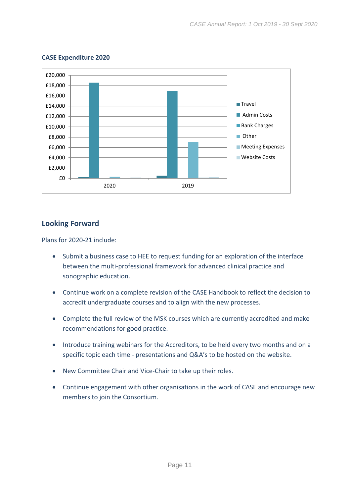

#### **CASE Expenditure 2020**

# <span id="page-11-0"></span>**Looking Forward**

Plans for 2020-21 include:

- Submit a business case to HEE to request funding for an exploration of the interface between the multi-professional framework for advanced clinical practice and sonographic education.
- Continue work on a complete revision of the CASE Handbook to reflect the decision to accredit undergraduate courses and to align with the new processes.
- Complete the full review of the MSK courses which are currently accredited and make recommendations for good practice.
- Introduce training webinars for the Accreditors, to be held every two months and on a specific topic each time - presentations and Q&A's to be hosted on the website.
- New Committee Chair and Vice-Chair to take up their roles.
- Continue engagement with other organisations in the work of CASE and encourage new members to join the Consortium.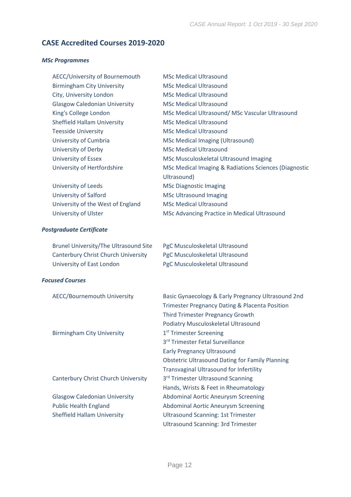# <span id="page-12-0"></span>**CASE Accredited Courses 2019-2020**

#### *MSc Programmes*

| AECC/University of Bournemouth       | <b>MSc Medical Ultrasound</b>                         |
|--------------------------------------|-------------------------------------------------------|
| <b>Birmingham City University</b>    | <b>MSc Medical Ultrasound</b>                         |
| City, University London              | <b>MSc Medical Ultrasound</b>                         |
| <b>Glasgow Caledonian University</b> | <b>MSc Medical Ultrasound</b>                         |
| King's College London                | MSc Medical Ultrasound/ MSc Vascular Ultrasound       |
| <b>Sheffield Hallam University</b>   | <b>MSc Medical Ultrasound</b>                         |
| <b>Teesside University</b>           | <b>MSc Medical Ultrasound</b>                         |
| University of Cumbria                | <b>MSc Medical Imaging (Ultrasound)</b>               |
| University of Derby                  | <b>MSc Medical Ultrasound</b>                         |
| University of Essex                  | MSc Musculoskeletal Ultrasound Imaging                |
| University of Hertfordshire          | MSc Medical Imaging & Radiations Sciences (Diagnostic |
|                                      | Ultrasound)                                           |
| University of Leeds                  | <b>MSc Diagnostic Imaging</b>                         |
| University of Salford                | <b>MSc Ultrasound Imaging</b>                         |
| University of the West of England    | <b>MSc Medical Ultrasound</b>                         |
| University of Ulster                 | MSc Advancing Practice in Medical Ultrasound          |
|                                      |                                                       |

#### *Postgraduate Certificate*

| Brunel University/The Ultrasound Site      | PgC Musculoskeletal Ultrasound |
|--------------------------------------------|--------------------------------|
| <b>Canterbury Christ Church University</b> | PgC Musculoskeletal Ultrasound |
| University of East London                  | PgC Musculoskeletal Ultrasound |

#### *Focused Courses*

| <b>AECC/Bournemouth University</b>   | Basic Gynaecology & Early Pregnancy Ultrasound 2nd<br><b>Trimester Pregnancy Dating &amp; Placenta Position</b><br><b>Third Trimester Pregnancy Growth</b> |
|--------------------------------------|------------------------------------------------------------------------------------------------------------------------------------------------------------|
|                                      | Podiatry Musculoskeletal Ultrasound                                                                                                                        |
| <b>Birmingham City University</b>    | 1 <sup>st</sup> Trimester Screening                                                                                                                        |
|                                      | 3rd Trimester Fetal Surveillance                                                                                                                           |
|                                      | <b>Early Pregnancy Ultrasound</b>                                                                                                                          |
|                                      | <b>Obstetric Ultrasound Dating for Family Planning</b>                                                                                                     |
|                                      | <b>Transvaginal Ultrasound for Infertility</b>                                                                                                             |
| Canterbury Christ Church University  | 3rd Trimester Ultrasound Scanning                                                                                                                          |
|                                      | Hands, Wrists & Feet in Rheumatology                                                                                                                       |
| <b>Glasgow Caledonian University</b> | <b>Abdominal Aortic Aneurysm Screening</b>                                                                                                                 |
| <b>Public Health England</b>         | <b>Abdominal Aortic Aneurysm Screening</b>                                                                                                                 |
| <b>Sheffield Hallam University</b>   | <b>Ultrasound Scanning: 1st Trimester</b>                                                                                                                  |
|                                      | <b>Ultrasound Scanning: 3rd Trimester</b>                                                                                                                  |
|                                      |                                                                                                                                                            |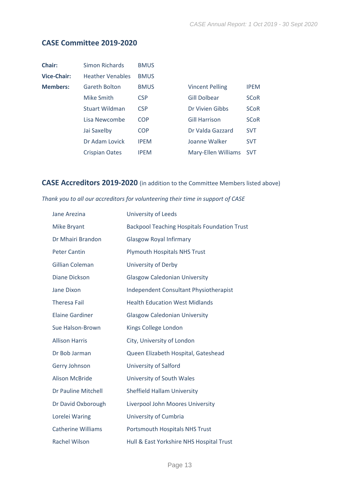# <span id="page-13-0"></span>**CASE Committee 2019-2020**

| Chair:             | Simon Richards          | <b>BMUS</b> |                        |             |
|--------------------|-------------------------|-------------|------------------------|-------------|
| <b>Vice-Chair:</b> | <b>Heather Venables</b> | <b>BMUS</b> |                        |             |
| <b>Members:</b>    | <b>Gareth Bolton</b>    | <b>BMUS</b> | <b>Vincent Pelling</b> | <b>IPEM</b> |
|                    | Mike Smith              | <b>CSP</b>  | Gill Dolbear           | <b>SCoR</b> |
|                    | <b>Stuart Wildman</b>   | <b>CSP</b>  | Dr Vivien Gibbs        | <b>SCoR</b> |
|                    | Lisa Newcombe           | <b>COP</b>  | <b>Gill Harrison</b>   | <b>SCoR</b> |
|                    | Jai Saxelby             | <b>COP</b>  | Dr Valda Gazzard       | <b>SVT</b>  |
|                    | Dr Adam Lovick          | <b>IPEM</b> | Joanne Walker          | <b>SVT</b>  |
|                    | <b>Crispian Oates</b>   | <b>IPEM</b> | Mary-Ellen Williams    | <b>SVT</b>  |

# <span id="page-13-1"></span>**CASE Accreditors 2019-2020** (in addition to the Committee Members listed above)

#### *Thank you to all our accreditors for volunteering their time in support of CASE*

| Jane Arezina              | <b>University of Leeds</b>                          |
|---------------------------|-----------------------------------------------------|
| <b>Mike Bryant</b>        | <b>Backpool Teaching Hospitals Foundation Trust</b> |
| Dr Mhairi Brandon         | <b>Glasgow Royal Infirmary</b>                      |
| <b>Peter Cantin</b>       | <b>Plymouth Hospitals NHS Trust</b>                 |
| <b>Gillian Coleman</b>    | <b>University of Derby</b>                          |
| <b>Diane Dickson</b>      | <b>Glasgow Caledonian University</b>                |
| Jane Dixon                | <b>Independent Consultant Physiotherapist</b>       |
| <b>Theresa Fail</b>       | <b>Health Education West Midlands</b>               |
| <b>Elaine Gardiner</b>    | <b>Glasgow Caledonian University</b>                |
| Sue Halson-Brown          | Kings College London                                |
| <b>Allison Harris</b>     | City, University of London                          |
| Dr Bob Jarman             | Queen Elizabeth Hospital, Gateshead                 |
| Gerry Johnson             | <b>University of Salford</b>                        |
| <b>Alison McBride</b>     | University of South Wales                           |
| Dr Pauline Mitchell       | <b>Sheffield Hallam University</b>                  |
| Dr David Oxborough        | Liverpool John Moores University                    |
| Lorelei Waring            | University of Cumbria                               |
| <b>Catherine Williams</b> | <b>Portsmouth Hospitals NHS Trust</b>               |
| <b>Rachel Wilson</b>      | Hull & East Yorkshire NHS Hospital Trust            |